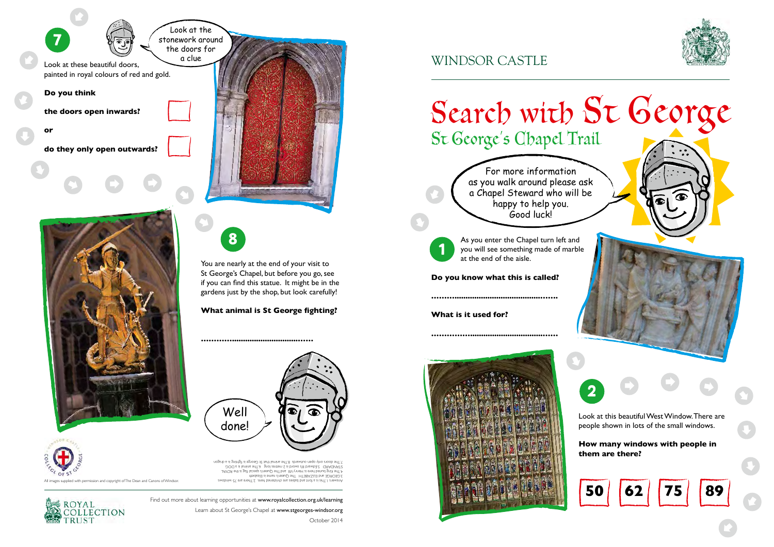

Learn about St George's Chapel at www.stgeorges-windsor.org

October 2014

As you enter the Chapel turn left and you will see something made of marble at the end of the aisle.

## **Do you know what this is called?**

**……….......................................…….** 

**What is it used for?** 

**…………….................................……**

<sup>1</sup> <sup>8</sup>

St George's Chapel Trail







  $\Rightarrow$ 



 $\Rightarrow$ 







Find out more about learning opportunities at www.royalcollection.org.uk/learning

You are nearly at the end of your visit to St George's Chapel, but before you go, see if you can find this statue. It might be in the gardens just by the shop, but look carefully!



**What animal is St George fighting?** 

**…………..............................……**

For more information as you walk around please ask a Chapel Steward who will be happy to help you. Good luck!